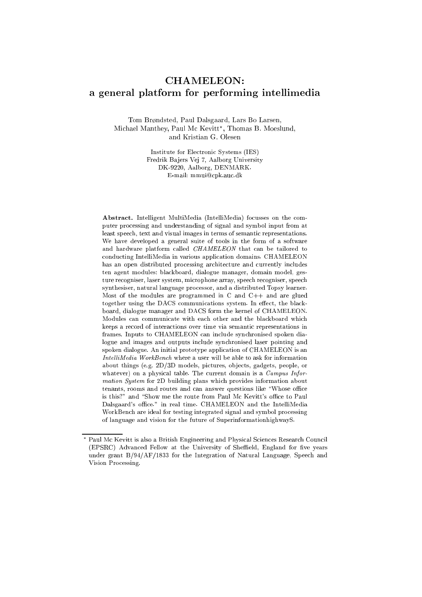# **CHAMELEON:** a general platform for performing intellimedia

Tom Brøndsted, Paul Dalsgaard, Lars Bo Larsen, Michael Manthey, Paul Mc Kevitt? , Thomas B. Moeslund, and Kristian G. Olesen

> Institute for Electronic Systems (IES) Fredrik Ba jers Vej 7, Aalborg University DK-9220, Aalborg, DENMARK. E-mail: mmui@cpk.auc.dk

Abstract. Intelligent MultiMedia (IntelliMedia) focusses on the computer processing and understanding of signal and symbol input from at least speech, text and visual images in terms of semantic representations. We have developed a general suite of tools in the form of a software and hardware platform called CHAMELEON that can be tailored to conducting IntelliMedia in various application domains. CHAMELEON has an open distributed processing architecture and currently includes ten agent modules: blackboard, dialogue manager, domain model, gesture recogniser, laser system, microphone array, speech recogniser, speech synthesiser, natural language processor, and a distributed Topsy learner. Most of the modules are programmed in C and C++ and are glued together using the DACS communications system. In effect, the blackboard, dialogue manager and DACS form the kernel of CHAMELEON. Modules can communicate with each other and the blackboard which keeps a record of interactions over time via semantic representations in frames. Inputs to CHAMELEON can include synchronised spoken dialogue and images and outputs include synchronised laser pointing and spoken dialogue. An initial prototype application of CHAMELEON is an IntelliMedia WorkBench where a user will be able to ask for information about things (e.g. 2D/3D models, pictures, ob jects, gadgets, people, or whatever) on a physical table. The current domain is a *Campus Infor*mation System for 2D building plans which provides information about tenants, rooms and routes and can answer questions like "Whose office is this?" and "Show me the route from Paul Mc Kevitt's office to Paul Dalsgaard's office." in real time. CHAMELEON and the IntelliMedia WorkBench are ideal for testing integrated signal and symbol processing of language and vision for the future of SuperinformationhighwayS.

<sup>?</sup> Paul Mc Kevitt is also a British Engineering and Physical Sciences Research Council (EPSRC) Advanced Fellow at the University of Sheffield, England for five years under grant B/94/AF/1833 for the Integration of Natural Language, Speech and Vision Processing.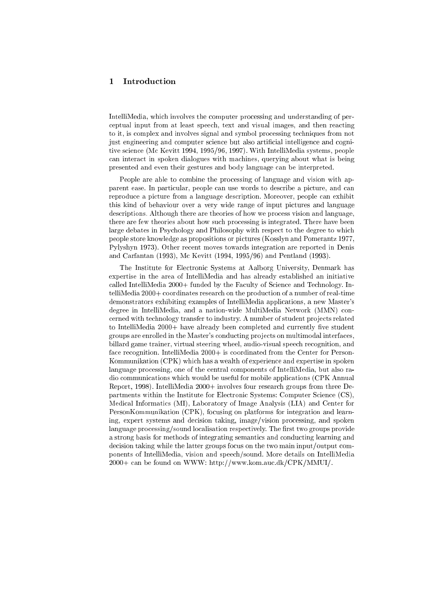# 1 Introduction

IntelliMedia, which involves the computer processing and understanding of perceptual input from at least speech, text and visual images, and then reacting to it, is complex and involves signal and symbol processing techniques from not just engineering and computer science but also articial intelligence and cognitive science (Mc Kevitt 1994, 1995/96, 1997). With IntelliMedia systems, people can interact in spoken dialogues with machines, querying about what is being presented and even their gestures and body language can be interpreted.

People are able to combine the processing of language and vision with apparent ease. In particular, people can use words to describe a picture, and can reproduce a picture from a language description. Moreover, people can exhibit this kind of behaviour over a very wide range of input pictures and language descriptions. Although there are theories of how we process vision and language, there are few theories about how such processing is integrated. There have been large debates in Psychology and Philosophy with respect to the degree to which people store knowledge as propositions or pictures (Kosslyn and Pomerantz 1977, Pylyshyn 1973). Other recent moves towards integration are reported in Denis and Carfantan (1993), Mc Kevitt (1994, 1995/96) and Pentland (1993).

The Institute for Electronic Systems at Aalborg University, Denmark has expertise in the area of IntelliMedia and has already established an initiative called IntelliMedia 2000+ funded by the Faculty of Science and Technology. IntelliMedia 2000+ coordinates research on the production of a number of real-time demonstrators exhibiting examples of IntelliMedia applications, a new Master's degree in IntelliMedia, and a nation-wide MultiMedia Network (MMN) concerned with technology transfer to industry. A number of student projects related to IntelliMedia  $2000+$  have already been completed and currently five student groups are enrolled in the Master's conducting pro jects on multimodal interfaces, billard game trainer, virtual steering wheel, audio-visual speech recognition, and face recognition. IntelliMedia 2000+ is coordinated from the Center for Person-Kommunikation (CPK) which has a wealth of experience and expertise in spoken language processing, one of the central components of IntelliMedia, but also radio communications which would be useful for mobile applications (CPK Annual Report, 1998). IntelliMedia 2000+ involves four research groups from three Departments within the Institute for Electronic Systems: Computer Science (CS), Medical Informatics (MI), Laboratory of Image Analysis (LIA) and Center for PersonKommunikation (CPK), focusing on platforms for integration and learning, expert systems and decision taking, image/vision processing, and spoken language processing/sound localisation respectively. The first two groups provide a strong basis for methods of integrating semantics and conducting learning and decision taking while the latter groups focus on the two main input/output components of IntelliMedia, vision and speech/sound. More details on IntelliMedia 2000+ can be found on WWW: http://www.kom.auc.dk/CPK/MMUI/.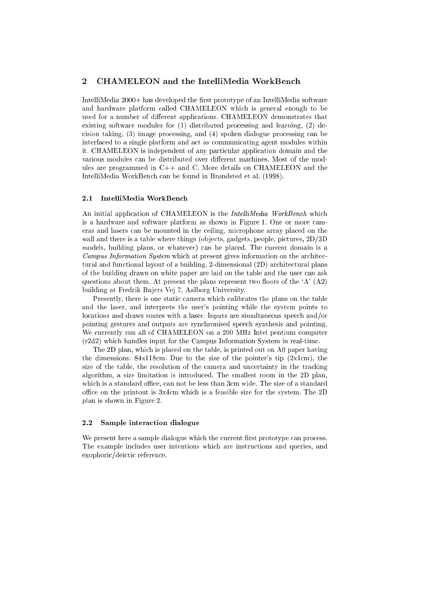#### 2 CHAMELEON and the IntelliMedia WorkBench  $\overline{2}$

IntelliMedia  $2000+$  has developed the first prototype of an IntelliMedia software and hardware platform called CHAMELEON which is general enough to be used for a number of different applications. CHAMELEON demonstrates that existing software modules for (1) distributed processing and learning, (2) decision taking, (3) image processing, and (4) spoken dialogue processing can be interfaced to a single platform and act as communicating agent modules within it. CHAMELEON is independent of any particular application domain and the various modules can be distributed over different machines. Most of the modules are programmed in C++ and C. More details on CHAMELEON and the IntelliMedia WorkBench can be found in Brøndsted et al. (1998).

#### 2.1 IntelliMedia WorkBench

An initial application of CHAMELEON is the *IntelliMedia WorkBench* which is a hardware and software platform as shown in Figure 1. One or more cameras and lasers can be mounted in the ceiling, microphone array placed on the wall and there is a table where things (objects, gadgets, people, pictures,  $2D/3D$ models, building plans, or whatever) can be placed. The current domain is a Campus Information System which at present gives information on the architectural and functional layout of a building. 2-dimensional (2D) architectural plans of the building drawn on white paper are laid on the table and the user can ask questions about them. At present the plans represent two floors of the  $A' (A2)$ building at Fredrik Bajers Vej 7, Aalborg University.

Presently, there is one static camera which calibrates the plans on the table and the laser, and interprets the user's pointing while the system points to locations and draws routes with a laser. Inputs are simultaneous speech and/or pointing gestures and outputs are synchronised speech synthesis and pointing. We currently run all of CHAMELEON on a 200 MHz Intel pentium computer (r2d2) which handles input for the Campus Information System in real-time.

The 2D plan, which is placed on the table, is printed out on A0 paper having the dimensions:  $84x118cm$ . Due to the size of the pointer's tip  $(2x1cm)$ , the size of the table, the resolution of the camera and uncertainty in the tracking algorithm, a size limitation is introduced. The smallest room in the 2D plan, which is a standard office, can not be less than 3cm wide. The size of a standard office on the printout is  $3x4$ cm which is a feasible size for the system. The 2D plan is shown in Figure 2.

#### 2.2 Sample interaction dialogue

We present here a sample dialogue which the current first prototype can process. The example includes user intentions which are instructions and queries, and exophoric/deictic reference.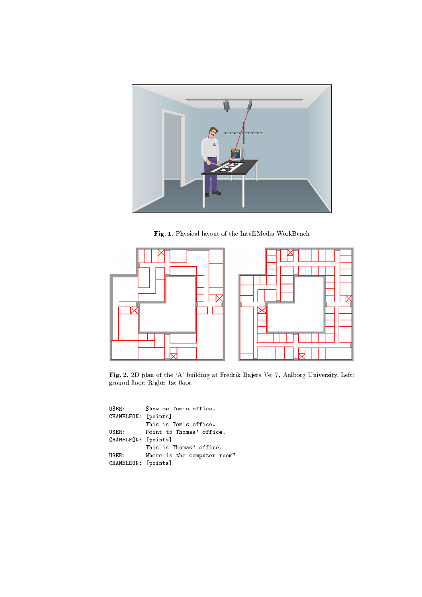

Fig. 1. Physical layout of the IntelliMedia WorkBench



Fig. 2. 2D plan of the `A' building at Fredrik Ba jers Vej 7, Aalborg University. Left: oor. The contract of the contract of the contract of the contract of the contract of the contract of the contract of the contract of the contract of the contract of the contract of the contract of the contract of the contr

| USER :              | Show me Tom's office.          |  |  |
|---------------------|--------------------------------|--|--|
| CHAMELEON: [points] |                                |  |  |
|                     | This is Tom's office.          |  |  |
|                     | USER: Point to Thomas' office. |  |  |
| CHAMELEON: [points] |                                |  |  |
|                     | This is Thomas' office.        |  |  |
| USER:               | Where is the computer room?    |  |  |
| CHAMELEON: [points] |                                |  |  |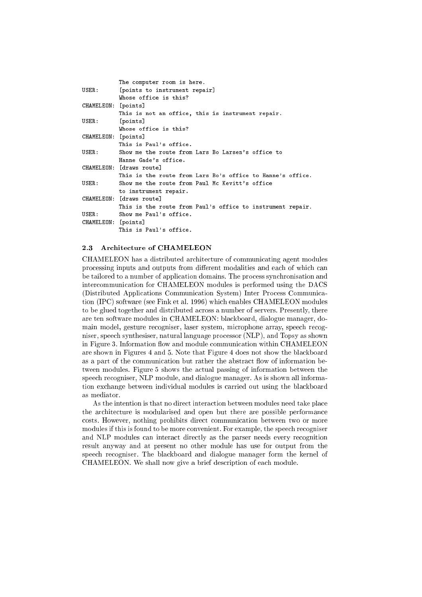```
The computer room is here.
USER: [points to instrument repair]
          Whose office is this?
CHAMELEON: [points]
          This is not an office, this is instrument repair.
USER:
           [points]
          Whose office is this?
CHAMELEON: [points]
          This is Paul's office.
USER: Show me the route from Lars Bo Larsen's office to
          Hanne Gade's office.
CHAMELEON: [draws route]
           This is the route from Lars Bo's office to Hanne's office.
USER: Show me the route from Paul Mc Kevitt's office
           to instrument repair.
CHAMELEON: [draws route]
          This is the route from Paul's office to instrument repair.
USER: Show me Paul's office.
CHAMELEON: [points]
          This is Paul's office.
```
#### Architecture of CHAMELEON 2.3

CHAMELEON has a distributed architecture of communicating agent modules processing inputs and outputs from different modalities and each of which can be tailored to a number of application domains. The process synchronisation and intercommunication for CHAMELEON modules is performed using the DACS (Distributed Applications Communication System) Inter Process Communication (IPC) software (see Fink et al. 1996) which enables CHAMELEON modules to be glued together and distributed across a number of servers. Presently, there are ten software modules in CHAMELEON: blackboard, dialogue manager, domain model, gesture recogniser, laser system, microphone array, speech recogniser, speech synthesiser, natural language processor (NLP), and Topsy as shown in Figure 3. Information flow and module communication within CHAMELEON are shown in Figures 4 and 5. Note that Figure 4 does not show the blackboard as a part of the communication but rather the abstract flow of information between modules. Figure 5 shows the actual passing of information between the speech recogniser, NLP module, and dialogue manager. As is shown all information exchange between individual modules is carried out using the blackboard

As the intention is that no direct interaction between modules need take place the architecture is modularised and open but there are possible performance costs. However, nothing prohibits direct communication between two or more modules if this is found to be more convenient. For example, the speech recogniser and NLP modules can interact directly as the parser needs every recognition result anyway and at present no other module has use for output from the speech recogniser. The blackboard and dialogue manager form the kernel of CHAMELEON. We shall now give a brief description of each module.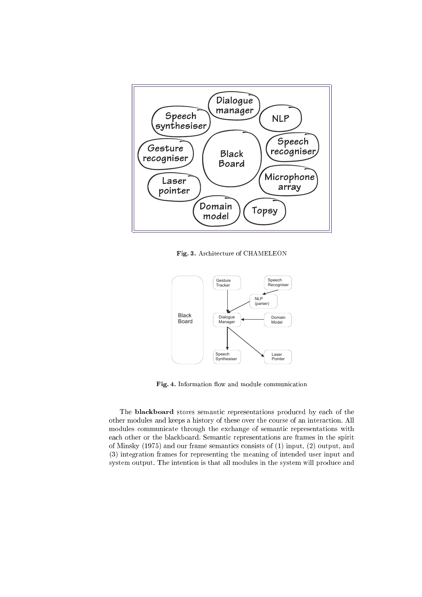

Fig. 3. Architecture of CHAMELEON



Fig. 4. Information flow and module communication

The blackboard stores semantic representations produced by each of the other modules and keeps a history of these over the course of an interaction. All modules communicate through the exchange of semantic representations with each other or the blackboard. Semantic representations are frames in the spirit of Minsky (1975) and our frame semantics consists of (1) input, (2) output, and (3) integration frames for representing the meaning of intended user input and system output. The intention is that all modules in the system will produce and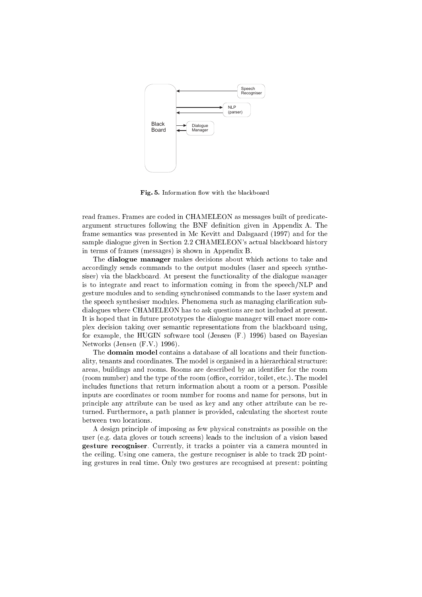

Fig. 5. Information flow with the blackboard

read frames. Frames are coded in CHAMELEON as messages built of predicateargument structures following the BNF denition given in Appendix A. The frame semantics was presented in Mc Kevitt and Dalsgaard (1997) and for the sample dialogue given in Section 2.2 CHAMELEON's actual blackboard history in terms of frames (messages) is shown in Appendix B.

The dialogue manager makes decisions about which actions to take and accordingly sends commands to the output modules (laser and speech synthesiser) via the blackboard. At present the functionality of the dialogue manager is to integrate and react to information coming in from the speech/NLP and gesture modules and to sending synchronised commands to the laser system and the speech synthesiser modules. Phenomena such as managing clarication subdialogues where CHAMELEON has to ask questions are not included at present. It is hoped that in future prototypes the dialogue manager will enact more complex decision taking over semantic representations from the blackboard using, for example, the HUGIN software tool (Jensen (F.) 1996) based on Bayesian Networks (Jensen (F.V.) 1996).

The domain model contains a database of all locations and their functionality, tenants and coordinates. The model is organised in a hierarchical structure: areas, buildings and rooms. Rooms are described by an identifier for the room (room number) and the type of the room (office, corridor, toilet, etc.). The model includes functions that return information about a room or a person. Possible inputs are coordinates or room number for rooms and name for persons, but in principle any attribute can be used as key and any other attribute can be returned. Furthermore, a path planner is provided, calculating the shortest route between two locations.

A design principle of imposing as few physical constraints as possible on the user (e.g. data gloves or touch screens) leads to the inclusion of a vision based gesture recogniser. Currently, it tracks a pointer via a camera mounted in the ceiling. Using one camera, the gesture recogniser is able to track 2D pointing gestures in real time. Only two gestures are recognised at present: pointing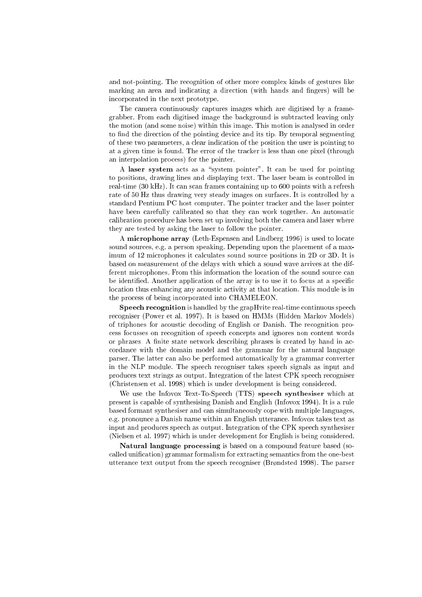and not-pointing. The recognition of other more complex kinds of gestures like marking an area and indicating a direction (with hands and fingers) will be incorporated in the next prototype.

The camera continuously captures images which are digitised by a framegrabber. From each digitised image the background is subtracted leaving only the motion (and some noise) within this image. This motion is analysed in order to find the direction of the pointing device and its tip. By temporal segmenting of these two parameters, a clear indication of the position the user is pointing to at a given time is found. The error of the tracker is less than one pixel (through an interpolation process) for the pointer.

A laser system acts as a "system pointer". It can be used for pointing to positions, drawing lines and displaying text. The laser beam is controlled in real-time (30 kHz). It can scan frames containing up to 600 points with a refresh rate of 50 Hz thus drawing very steady images on surfaces. It is controlled by a standard Pentium PC host computer. The pointer tracker and the laser pointer have been carefully calibrated so that they can work together. An automatic calibration procedure has been set up involving both the camera and laser where they are tested by asking the laser to follow the pointer.

A microphone array (Leth-Espensen and Lindberg 1996) is used to locate sound sources, e.g. a person speaking. Depending upon the placement of a maximum of 12 microphones it calculates sound source positions in 2D or 3D. It is based on measurement of the delays with which a sound wave arrives at the different microphones. From this information the location of the sound source can be identified. Another application of the array is to use it to focus at a specific location thus enhancing any acoustic activity at that location. This module is in the process of being incorporated into CHAMELEON.

Speech recognition is handled by the grapHvite real-time continuous speech recogniser (Power et al. 1997). It is based on HMMs (Hidden Markov Models) of triphones for acoustic decoding of English or Danish. The recognition process focusses on recognition of speech concepts and ignores non content words or phrases. A finite state network describing phrases is created by hand in accordance with the domain model and the grammar for the natural language parser. The latter can also be performed automatically by a grammar converter in the NLP module. The speech recogniser takes speech signals as input and produces text strings as output. Integration of the latest CPK speech recogniser (Christensen et al. 1998) which is under development is being considered.

We use the Infovox Text-To-Speech (TTS) speech synthesiser which at present is capable of synthesising Danish and English (Infovox 1994). It is a rule based formant synthesiser and can simultaneously cope with multiple languages, e.g. pronounce a Danish name within an English utterance. Infovox takes text as input and produces speech as output. Integration of the CPK speech synthesiser (Nielsen et al. 1997) which is under development for English is being considered.

Natural language processing is based on a compound feature based (socalled unication) grammar formalism for extracting semantics from the one-best utterance text output from the speech recogniser (Brøndsted 1998). The parser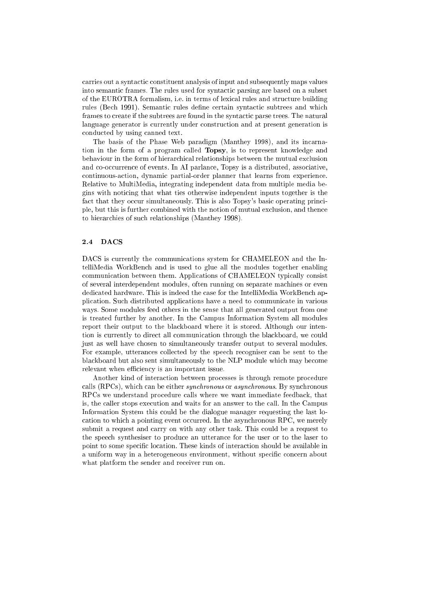carries out a syntactic constituent analysis of input and subsequently maps values into semantic frames. The rules used for syntactic parsing are based on a subset of the EUROTRA formalism, i.e. in terms of lexical rules and structure building rules (Bech 1991). Semantic rules dene certain syntactic subtrees and which frames to create if the subtrees are found in the syntactic parse trees. The natural language generator is currently under construction and at present generation is conducted by using canned text.

The basis of the Phase Web paradigm (Manthey 1998), and its incarnation in the form of a program called Topsy, is to represent knowledge and behaviour in the form of hierarchical relationships between the mutual exclusion and co-occurrence of events. In AI parlance, Topsy is a distributed, associative, continuous-action, dynamic partial-order planner that learns from experience. Relative to MultiMedia, integrating independent data from multiple media begins with noticing that what ties otherwise independent inputs together is the fact that they occur simultaneously. This is also Topsy's basic operating principle, but this is further combined with the notion of mutual exclusion, and thence to hierarchies of such relationships (Manthey 1998).

#### 2.4 DACS

DACS is currently the communications system for CHAMELEON and the IntelliMedia WorkBench and is used to glue all the modules together enabling communication between them. Applications of CHAMELEON typically consist of several interdependent modules, often running on separate machines or even dedicated hardware. This is indeed the case for the IntelliMedia WorkBench application. Such distributed applications have a need to communicate in various ways. Some modules feed others in the sense that all generated output from one is treated further by another. In the Campus Information System all modules report their output to the blackboard where it is stored. Although our intention is currently to direct all communication through the blackboard, we could just as well have chosen to simultaneously transfer output to several modules. For example, utterances collected by the speech recogniser can be sent to the blackboard but also sent simultaneously to the NLP module which may become relevant when efficiency is an important issue.

Another kind of interaction between processes is through remote procedure calls (RPCs), which can be either synchronous or asynchronous. By synchronous RPCs we understand procedure calls where we want immediate feedback, that is, the caller stops execution and waits for an answer to the call. In the Campus Information System this could be the dialogue manager requesting the last location to which a pointing event occurred. In the asynchronous RPC, we merely submit a request and carry on with any other task. This could be a request to the speech synthesiser to produce an utterance for the user or to the laser to point to some specic location. These kinds of interaction should be available in a uniform way in a heterogeneous environment, without specic concern about what platform the sender and receiver run on.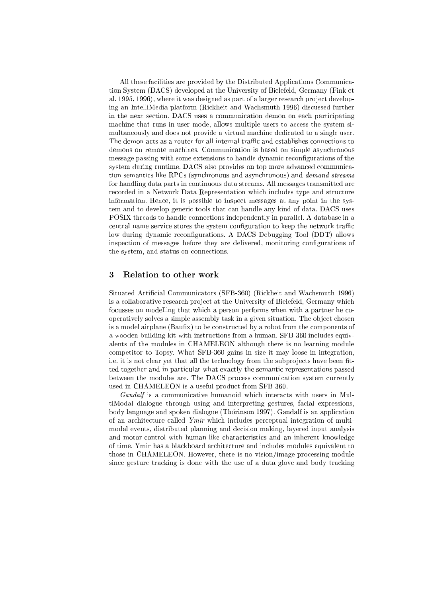All these facilities are provided by the Distributed Applications Communication System (DACS) developed at the University of Bielefeld, Germany (Fink et al. 1995, 1996), where it was designed as part of a larger research project developing an IntelliMedia platform (Rickheit and Wachsmuth 1996) discussed further in the next section. DACS uses a communication demon on each participating machine that runs in user mode, allows multiple users to access the system simultaneously and does not provide a virtual machine dedicated to a single user. The demon acts as a router for all internal traffic and establishes connections to demons on remote machines. Communication is based on simple asynchronous message passing with some extensions to handle dynamic reconfigurations of the system during runtime. DACS also provides on top more advanced communication semantics like RPCs (synchronous and asynchronous) and demand streams for handling data parts in continuous data streams. All messages transmitted are recorded in a Network Data Representation which includes type and structure information. Hence, it is possible to inspect messages at any point in the system and to develop generic tools that can handle any kind of data. DACS uses POSIX threads to handle connections independently in parallel. A database in a central name service stores the system configuration to keep the network traffic low during dynamic reconfigurations. A DACS Debugging Tool (DDT) allows inspection of messages before they are delivered, monitoring configurations of the system, and status on connections.

## 3 Relation to other work

Situated Articial Communicators (SFB-360) (Rickheit and Wachsmuth 1996) is a collaborative research project at the University of Bielefeld, Germany which focusses on modelling that which a person performs when with a partner he cooperatively solves a simple assembly task in a given situation. The ob ject chosen is a model airplane (Baufix) to be constructed by a robot from the components of a wooden building kit with instructions from a human. SFB-360 includes equivalents of the modules in CHAMELEON although there is no learning module competitor to Topsy. What SFB-360 gains in size it may loose in integration, i.e. it is not clear yet that all the technology from the subprojects have been fitted together and in particular what exactly the semantic representations passed between the modules are. The DACS process communication system currently used in CHAMELEON is a useful product from SFB-360.

Gandalf is a communicative humanoid which interacts with users in MultiModal dialogue through using and interpreting gestures, facial expressions, body language and spoken dialogue (Thorinson 1997). Gandalf is an application of an architecture called Ymir which includes perceptual integration of multimodal events, distributed planning and decision making, layered input analysis and motor-control with human-like characteristics and an inherent knowledge of time. Ymir has a blackboard architecture and includes modules equivalent to those in CHAMELEON. However, there is no vision/image processing module since gesture tracking is done with the use of a data glove and body tracking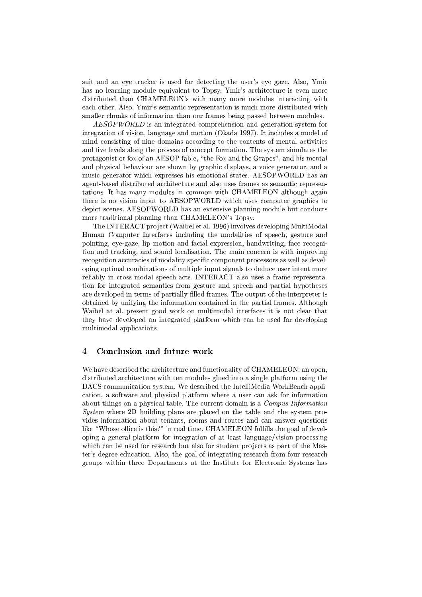suit and an eye tracker is used for detecting the user's eye gaze. Also, Ymir has no learning module equivalent to Topsy. Ymir's architecture is even more distributed than CHAMELEON's with many more modules interacting with each other. Also, Ymir's semantic representation is much more distributed with smaller chunks of information than our frames being passed between modules.

AESOPWORLD is an integrated comprehension and generation system for integration of vision, language and motion (Okada 1997). It includes a model of mind consisting of nine domains according to the contents of mental activities and five levels along the process of concept formation. The system simulates the protagonist or fox of an AESOP fable, \the Fox and the Grapes", and his mental and physical behaviour are shown by graphic displays, a voice generator, and a music generator which expresses his emotional states. AESOPWORLD has an agent-based distributed architecture and also uses frames as semantic representations. It has many modules in common with CHAMELEON although again there is no vision input to AESOPWORLD which uses computer graphics to depict scenes. AESOPWORLD has an extensive planning module but conducts more traditional planning than CHAMELEON's Topsy.

The INTERACT project (Waibel et al. 1996) involves developing MultiModal Human Computer Interfaces including the modalities of speech, gesture and pointing, eye-gaze, lip motion and facial expression, handwriting, face recognition and tracking, and sound localisation. The main concern is with improving recognition accuracies of modality specific component processors as well as developing optimal combinations of multiple input signals to deduce user intent more reliably in cross-modal speech-acts. INTERACT also uses a frame representation for integrated semantics from gesture and speech and partial hypotheses are developed in terms of partially filled frames. The output of the interpreter is obtained by unifying the information contained in the partial frames. Although Waibel at al. present good work on multimodal interfaces it is not clear that they have developed an integrated platform which can be used for developing multimodal applications.

### 4 Conclusion and future work

We have described the architecture and functionality of CHAMELEON: an open, distributed architecture with ten modules glued into a single platform using the DACS communication system. We described the IntelliMedia WorkBench application, a software and physical platform where a user can ask for information about things on a physical table. The current domain is a Campus Information System where 2D building plans are placed on the table and the system provides information about tenants, rooms and routes and can answer questions like "Whose office is this?" in real time. CHAMELEON fulfills the goal of developing a general platform for integration of at least language/vision processing which can be used for research but also for student projects as part of the Master's degree education. Also, the goal of integrating research from four research groups within three Departments at the Institute for Electronic Systems has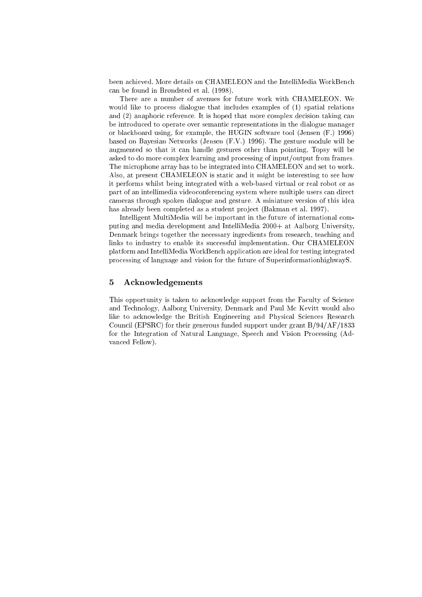been achieved. More details on CHAMELEON and the IntelliMedia WorkBench can be found in Brøndsted et al. (1998).

There are a number of avenues for future work with CHAMELEON. We would like to process dialogue that includes examples of (1) spatial relations and (2) anaphoric reference. It is hoped that more complex decision taking can be introduced to operate over semantic representations in the dialogue manager or blackboard using, for example, the HUGIN software tool (Jensen (F.) 1996) based on Bayesian Networks (Jensen (F.V.) 1996). The gesture module will be augmented so that it can handle gestures other than pointing. Topsy will be asked to do more complex learning and processing of input/output from frames. The microphone array has to be integrated into CHAMELEON and set to work. Also, at present CHAMELEON is static and it might be interesting to see how it performs whilst being integrated with a web-based virtual or real robot or as part of an intellimedia videoconferencing system where multiple users can direct cameras through spoken dialogue and gesture. A miniature version of this idea has already been completed as a student project (Bakman et al. 1997).

Intelligent MultiMedia will be important in the future of international computing and media development and IntelliMedia 2000+ at Aalborg University, Denmark brings together the necessary ingredients from research, teaching and links to industry to enable its successful implementation. Our CHAMELEON platform and IntelliMedia WorkBench application are ideal for testing integrated processing of language and vision for the future of SuperinformationhighwayS.

### 5 Acknowledgements

This opportunity is taken to acknowledge support from the Faculty of Science and Technology, Aalborg University, Denmark and Paul Mc Kevitt would also like to acknowledge the British Engineering and Physical Sciences Research Council (EPSRC) for their generous funded support under grant B/94/AF/1833 for the Integration of Natural Language, Speech and Vision Processing (Advanced Fellow).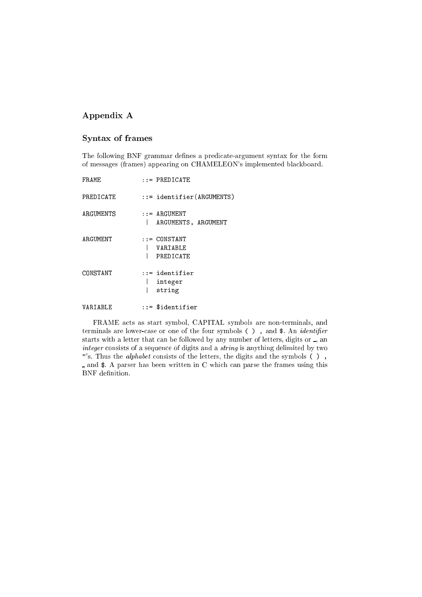# Appendix A

# Syntax of frames

The following BNF grammar defines a predicate-argument syntax for the form of messages (frames) appearing on CHAMELEON's implemented blackboard.

| FRAME     | $: :=$ PREDICATE                                  |
|-----------|---------------------------------------------------|
| PREDICATE | ::= identifier(ARGUMENTS)                         |
| ARGUMENTS | $: :=$ ARGUMENT<br>ARGUMENTS, ARGUMENT            |
| ARGUMENT  | $: := \texttt{CONSTANT}$<br>VARIABLE<br>PREDICATE |
| CONSTANT  | ::= identifier<br>integer<br>string               |
| VARIABLE  | ::= \$identifier                                  |

FRAME acts as start symbol, CAPITAL symbols are non-terminals, and terminals are lower-case or one of the four symbols ( ) , and  $\$ . An *identifier* starts with a letter that can be followed by any number of letters, digits or \_, an integer consists of a sequence of digits and a string is anything delimited by two "'s. Thus the alphabet consists of the letters, the digits and the symbols ( ) , and \$. A parser has been written in C which can parse the frames using this BNF definition.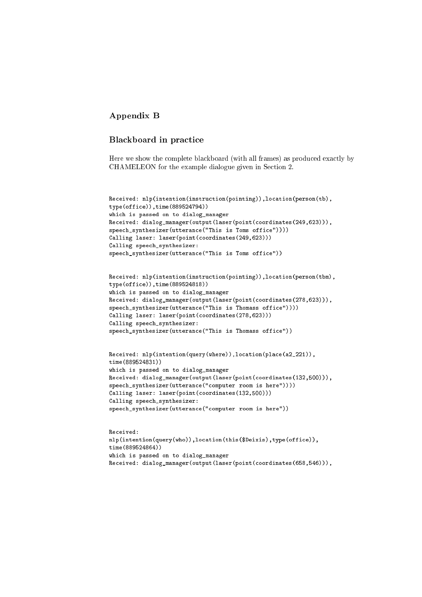# Appendix B

## Blackboard in practice

Here we show the complete blackboard (with all frames) as produced exactly by CHAMELEON for the example dialogue given in Section 2.

```
Received: nlp(intention(instruction(pointing)),location(person(tb),
type(office)),time(889524794))
which is passed on to dialog_manager
Received: dialog_manager(output(laser(point(coordinates(249,623))),
speech_synthesizer(utterance("This is Toms office"))))
Calling laser: laser(point(coordinates(249,623)))
Calling speech_synthesizer:
speech_synthesizer(utterance("This is Toms office"))
```

```
Received: nlp(intention(instruction(pointing)),location(person(tbm),
type(office)),time(889524818))
which is passed on to dialog_manager
Received: dialog_manager(output(laser(point(coordinates(278,623))),
speech_synthesizer(utterance("This is Thomass office"))))
Calling laser: laser(point(coordinates(278,623)))
Calling speech_synthesizer:
speech_synthesizer(utterance("This is Thomass office"))
```

```
Received: nlp(intention(query(where)),location(place(a2_221)),
time(889524831))
which is passed on to dialog_manager
Received: dialog_manager(output(laser(point(coordinates(132,500))),
speech_synthesizer(utterance("computer room is here"))))
Calling laser: laser(point(coordinates(132,500)))
Calling speech_synthesizer:
speech_synthesizer(utterance("computer room is here"))
```

```
Received:
nlp(intention(query(who)),location(this($Deixis),type(office)),
time(889524864))
which is passed on to dialog_manager
Received: dialog_manager(output(laser(point(coordinates(658,546))),
```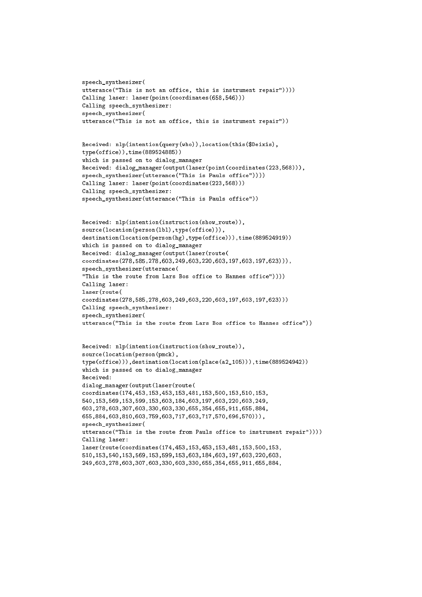```
speech_synthesizer(
utterance("This is not an office, this is instrument repair"))))
Calling laser: laser(point(coordinates(658,546)))
Calling speech_synthesizer:
speech_synthesizer(
utterance("This is not an office, this is instrument repair"))
Received: nlp(intention(query(who)),location(this($Deixis),
type(office)),time(889524885))
which is passed on to dialog_manager
Received: dialog_manager(output(laser(point(coordinates(223,568))),
speech_synthesizer(utterance("This is Pauls office"))))
Calling laser: laser(point(coordinates(223,568)))
Calling speech_synthesizer:
speech_synthesizer(utterance("This is Pauls office"))
Received: nlp(intention(instruction(show_route)),
source(location(person(lbl),type(office))),
destination(location(person(hg),type(office))),time(889524919))
which is passed on to dialog_manager
Received: dialog_manager(output(laser(route(
coordinates(278,585,278,603,249,603,220,603,197,603,197,623))),
speech_synthesizer(utterance(
"This is the route from Lars Bos office to Hannes office"))))
Calling laser:
laser(route(
coordinates(278,585,278,603,249,603,220,603,197,603,197,623)))
Calling speech_synthesizer:
speech_synthesizer(
utterance("This is the route from Lars Bos office to Hannes office"))
Received: nlp(intention(instruction(show_route)),
source(location(person(pmck),
type(office))),destination(location(place(a2_105))),time(889524942))
which is passed on to dialog_manager
Received:
dialog_manager(output(laser(route(
coordinates(174,453,153,453,153,481,153,500,153,510,153,
540,153,569,153,599,153,603,184,603,197,603,220,603,249,
603,278,603,307,603,330,603,330,655,354,655,911,655,884,
655,884,603,810,603,759,603,717,603,717,570,696,570))),
speech_synthesizer(
utterance("This is the route from Pauls office to instrument repair"))))
Calling laser:
laser(route(coordinates(174,453,153,453,153,481,153,500,153,
510,153,540,153,569,153,599,153,603,184,603,197,603,220,603,
249,603,278,603,307,603,330,603,330,655,354,655,911,655,884,
```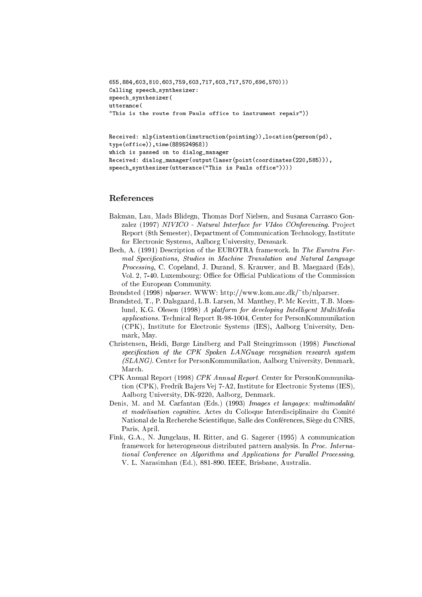```
655,884,603,810,603,759,603,717,603,717,570,696,570)))
Calling speech_synthesizer:
speech_synthesizer(
utterance(
"This is the route from Pauls office to instrument repair"))
```

```
Received: nlp(intention(instruction(pointing)),location(person(pd),
type(office)),time(889524958))
which is passed on to dialog_manager
Received: dialog_manager(output(laser(point(coordinates(220,585))),
speech_synthesizer(utterance("This is Pauls office"))))
```
## References

- Bakman, Lau, Mads Blidegn, Thomas Dorf Nielsen, and Susana Carrasco Gonzalez (1997) NIVICO - Natural Interface for VIdeo COnferencing. Project Report (8th Semester), Department of Communication Technology, Institute for Electronic Systems, Aalborg University, Denmark.
- Bech, A. (1991) Description of the EUROTRA framework. In The Eurotra Formal Specications, Studies in Machine Translation and Natural Language Processing, C. Copeland, J. Durand, S. Krauwer, and B. Maegaard (Eds), Vol. 2, 7-40. Luxembourg: Office for Official Publications of the Commission of the European Community.
- Brøndsted (1998) nlparser. WWW: http://www.kom.auc.dk/~tb/nlparser.
- Brøndsted, T., P. Dalsgaard, L.B. Larsen, M. Manthey, P. Mc Kevitt, T.B. Moeslund, K.G. Olesen (1998) A platform for developing Intelligent MultiMedia applications. Technical Report R-98-1004, Center for PersonKommunikation (CPK), Institute for Electronic Systems (IES), Aalborg University, Denmark, May.
- Christensen, Heidi, Børge Lindberg and Pall Steingrimsson (1998) Functional specification of the CPK Spoken LANGuage recognition research system (SLANG). Center for PersonKommunikation, Aalborg University, Denmark, March.
- CPK Annual Report (1998) CPK Annual Report. Center for PersonKommunikation (CPK), Fredrik Bajers Vej 7-A2, Institute for Electronic Systems (IES), Aalborg University, DK-9220, Aalborg, Denmark.
- Denis, M. and M. Carfantan (Eds.) (1993) Images et langages: multimodalité et modelisation cognitive. Actes du Colloque Interdisciplinaire du Comite National de la Recherche Scientifique, Salle des Conférences, Siège du CNRS, Paris, April.
- Fink, G.A., N. Jungclaus, H. Ritter, and G. Sagerer (1995) A communication framework for heterogeneous distributed pattern analysis. In Proc. International Conference on Algorithms and Applications for Parallel Processing, V. L. Narasimhan (Ed.), 881-890. IEEE, Brisbane, Australia.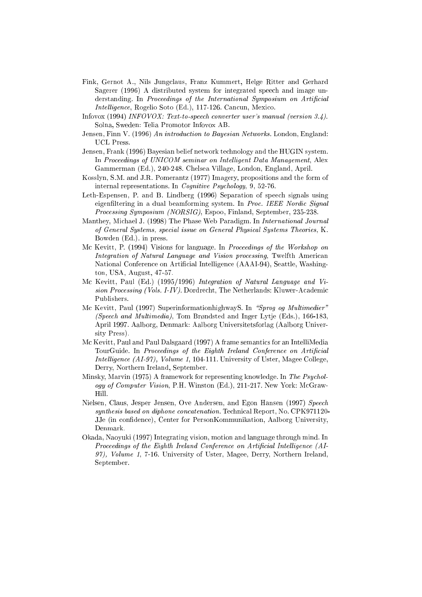- Fink, Gernot A., Nils Jungclaus, Franz Kummert, Helge Ritter and Gerhard Sagerer (1996) A distributed system for integrated speech and image understanding. In Proceedings of the International Symposium on Artificial Intelligence, Rogelio Soto (Ed.), 117-126. Cancun, Mexico.
- Infovox (1994) INFOVOX: Text-to-speech converter user's manual (version 3.4). Solna, Sweden: Telia Promotor Infovox AB.
- Jensen, Finn V. (1996) An introduction to Bayesian Networks. London, England: UCL Press.
- Jensen, Frank (1996) Bayesian belief network technology and the HUGIN system. In Proceedings of UNICOM seminar on Intelligent Data Management, Alex Gammerman (Ed.), 240-248. Chelsea Village, London, England, April.
- Kosslyn, S.M. and J.R. Pomerantz (1977) Imagery, propositions and the form of internal representations. In Cognitive Psychology, 9, 52-76.
- Leth-Espensen, P. and B. Lindberg (1996) Separation of speech signals using eigenfiltering in a dual beamforming system. In Proc. IEEE Nordic Signal Processing Symposium (NORSIG), Espoo, Finland, September, 235-238.
- Manthey, Michael J. (1998) The Phase Web Paradigm. In International Journal of General Systems, special issue on General Physical Systems Theories, K. Bowden (Ed.). in press.
- Mc Kevitt, P. (1994) Visions for language. In Proceedings of the Workshop on Integration of Natural Language and Vision processing, Twelfth American National Conference on Artificial Intelligence (AAAI-94), Seattle, Washington, USA, August, 47-57.
- Mc Kevitt, Paul (Ed.) (1995/1996) Integration of Natural Language and Vision Processing (Vols. I-IV). Dordrecht, The Netherlands: Kluwer-Academic Publishers.
- Mc Kevitt, Paul (1997) SuperinformationhighwayS. In "Sprog og Multimedier" (Speech and Multimedia), Tom Brøndsted and Inger Lytje (Eds.), 166-183, April 1997. Aalborg, Denmark: Aalborg Universitetsforlag (Aalborg University Press).
- Mc Kevitt, Paul and Paul Dalsgaard (1997) A frame semantics for an IntelliMedia TourGuide. In Proceedings of the Eighth Ireland Conference on Artificial Intelligence  $(AI-97)$ , Volume 1, 104-111. University of Uster, Magee College, Derry, Northern Ireland, September.
- Minsky, Marvin (1975) A framework for representing knowledge. In The Psychology of Computer Vision, P.H. Winston (Ed.), 211-217. New York: McGraw-Hill.
- Nielsen, Claus, Jesper Jensen, Ove Andersen, and Egon Hansen (1997) Speech synthesis based on diphone concatenation. Technical Report, No. CPK971120-JJe (in condence), Center for PersonKommunikation, Aalborg University, Denmark.
- Okada, Naoyuki (1997) Integrating vision, motion and language through mind. In Proceedings of the Eighth Ireland Conference on Artificial Intelligence (AI-97), Volume 1, 7-16. University of Uster, Magee, Derry, Northern Ireland, September.